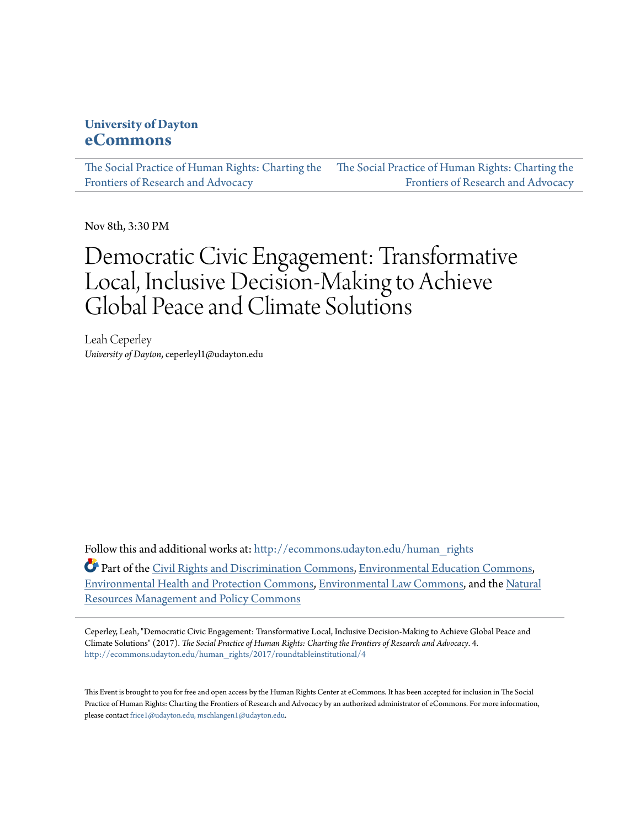### **University of Dayton [eCommons](http://ecommons.udayton.edu?utm_source=ecommons.udayton.edu%2Fhuman_rights%2F2017%2Froundtableinstitutional%2F4&utm_medium=PDF&utm_campaign=PDFCoverPages)**

[The Social Practice of Human Rights: Charting the](http://ecommons.udayton.edu/human_rights?utm_source=ecommons.udayton.edu%2Fhuman_rights%2F2017%2Froundtableinstitutional%2F4&utm_medium=PDF&utm_campaign=PDFCoverPages) [The Social Practice of Human Rights: Charting the](http://ecommons.udayton.edu/human_rights/2017?utm_source=ecommons.udayton.edu%2Fhuman_rights%2F2017%2Froundtableinstitutional%2F4&utm_medium=PDF&utm_campaign=PDFCoverPages) [Frontiers of Research and Advocacy](http://ecommons.udayton.edu/human_rights?utm_source=ecommons.udayton.edu%2Fhuman_rights%2F2017%2Froundtableinstitutional%2F4&utm_medium=PDF&utm_campaign=PDFCoverPages) [Frontiers of Research and Advocacy](http://ecommons.udayton.edu/human_rights/2017?utm_source=ecommons.udayton.edu%2Fhuman_rights%2F2017%2Froundtableinstitutional%2F4&utm_medium=PDF&utm_campaign=PDFCoverPages)

Nov 8th, 3:30 PM

# Democratic Civic Engagement: Transformative Local, Inclusive Decision-Making to Achieve Global Peace and Climate Solutions

Leah Ceperley *University of Dayton*, ceperleyl1@udayton.edu

Follow this and additional works at: [http://ecommons.udayton.edu/human\\_rights](http://ecommons.udayton.edu/human_rights?utm_source=ecommons.udayton.edu%2Fhuman_rights%2F2017%2Froundtableinstitutional%2F4&utm_medium=PDF&utm_campaign=PDFCoverPages)

Part of the [Civil Rights and Discrimination Commons,](http://network.bepress.com/hgg/discipline/585?utm_source=ecommons.udayton.edu%2Fhuman_rights%2F2017%2Froundtableinstitutional%2F4&utm_medium=PDF&utm_campaign=PDFCoverPages) [Environmental Education Commons](http://network.bepress.com/hgg/discipline/1305?utm_source=ecommons.udayton.edu%2Fhuman_rights%2F2017%2Froundtableinstitutional%2F4&utm_medium=PDF&utm_campaign=PDFCoverPages), [Environmental Health and Protection Commons](http://network.bepress.com/hgg/discipline/172?utm_source=ecommons.udayton.edu%2Fhuman_rights%2F2017%2Froundtableinstitutional%2F4&utm_medium=PDF&utm_campaign=PDFCoverPages), [Environmental Law Commons,](http://network.bepress.com/hgg/discipline/599?utm_source=ecommons.udayton.edu%2Fhuman_rights%2F2017%2Froundtableinstitutional%2F4&utm_medium=PDF&utm_campaign=PDFCoverPages) and the [Natural](http://network.bepress.com/hgg/discipline/170?utm_source=ecommons.udayton.edu%2Fhuman_rights%2F2017%2Froundtableinstitutional%2F4&utm_medium=PDF&utm_campaign=PDFCoverPages) [Resources Management and Policy Commons](http://network.bepress.com/hgg/discipline/170?utm_source=ecommons.udayton.edu%2Fhuman_rights%2F2017%2Froundtableinstitutional%2F4&utm_medium=PDF&utm_campaign=PDFCoverPages)

Ceperley, Leah, "Democratic Civic Engagement: Transformative Local, Inclusive Decision-Making to Achieve Global Peace and Climate Solutions" (2017). *The Social Practice of Human Rights: Charting the Frontiers of Research and Advocacy*. 4. [http://ecommons.udayton.edu/human\\_rights/2017/roundtableinstitutional/4](http://ecommons.udayton.edu/human_rights/2017/roundtableinstitutional/4?utm_source=ecommons.udayton.edu%2Fhuman_rights%2F2017%2Froundtableinstitutional%2F4&utm_medium=PDF&utm_campaign=PDFCoverPages)

This Event is brought to you for free and open access by the Human Rights Center at eCommons. It has been accepted for inclusion in The Social Practice of Human Rights: Charting the Frontiers of Research and Advocacy by an authorized administrator of eCommons. For more information, please contact [frice1@udayton.edu, mschlangen1@udayton.edu.](mailto:frice1@udayton.edu,%20mschlangen1@udayton.edu)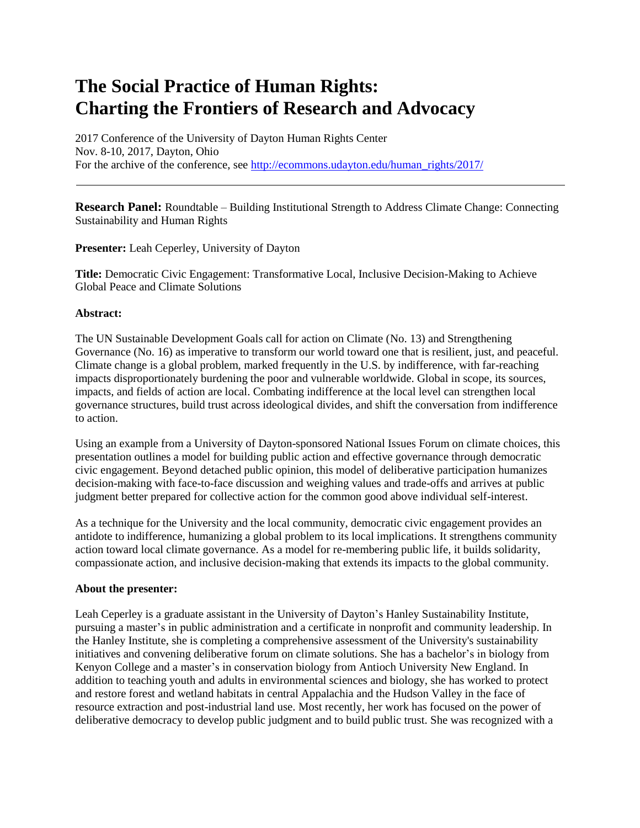## **The Social Practice of Human Rights: Charting the Frontiers of Research and Advocacy**

2017 Conference of the University of Dayton Human Rights Center Nov. 8-10, 2017, Dayton, Ohio For the archive of the conference, see [http://ecommons.udayton.edu/human\\_rights/2017/](http://ecommons.udayton.edu/human_rights/2017/)

**Research Panel:** Roundtable – Building Institutional Strength to Address Climate Change: Connecting Sustainability and Human Rights

**Presenter:** Leah Ceperley, University of Dayton

**Title:** Democratic Civic Engagement: Transformative Local, Inclusive Decision-Making to Achieve Global Peace and Climate Solutions

### **Abstract:**

The UN Sustainable Development Goals call for action on Climate (No. 13) and Strengthening Governance (No. 16) as imperative to transform our world toward one that is resilient, just, and peaceful. Climate change is a global problem, marked frequently in the U.S. by indifference, with far-reaching impacts disproportionately burdening the poor and vulnerable worldwide. Global in scope, its sources, impacts, and fields of action are local. Combating indifference at the local level can strengthen local governance structures, build trust across ideological divides, and shift the conversation from indifference to action.

Using an example from a University of Dayton-sponsored National Issues Forum on climate choices, this presentation outlines a model for building public action and effective governance through democratic civic engagement. Beyond detached public opinion, this model of deliberative participation humanizes decision-making with face-to-face discussion and weighing values and trade-offs and arrives at public judgment better prepared for collective action for the common good above individual self-interest.

As a technique for the University and the local community, democratic civic engagement provides an antidote to indifference, humanizing a global problem to its local implications. It strengthens community action toward local climate governance. As a model for re-membering public life, it builds solidarity, compassionate action, and inclusive decision-making that extends its impacts to the global community.

#### **About the presenter:**

Leah Ceperley is a graduate assistant in the University of Dayton's Hanley Sustainability Institute, pursuing a master's in public administration and a certificate in nonprofit and community leadership. In the Hanley Institute, she is completing a comprehensive assessment of the University's sustainability initiatives and convening deliberative forum on climate solutions. She has a bachelor's in biology from Kenyon College and a master's in conservation biology from Antioch University New England. In addition to teaching youth and adults in environmental sciences and biology, she has worked to protect and restore forest and wetland habitats in central Appalachia and the Hudson Valley in the face of resource extraction and post-industrial land use. Most recently, her work has focused on the power of deliberative democracy to develop public judgment and to build public trust. She was recognized with a